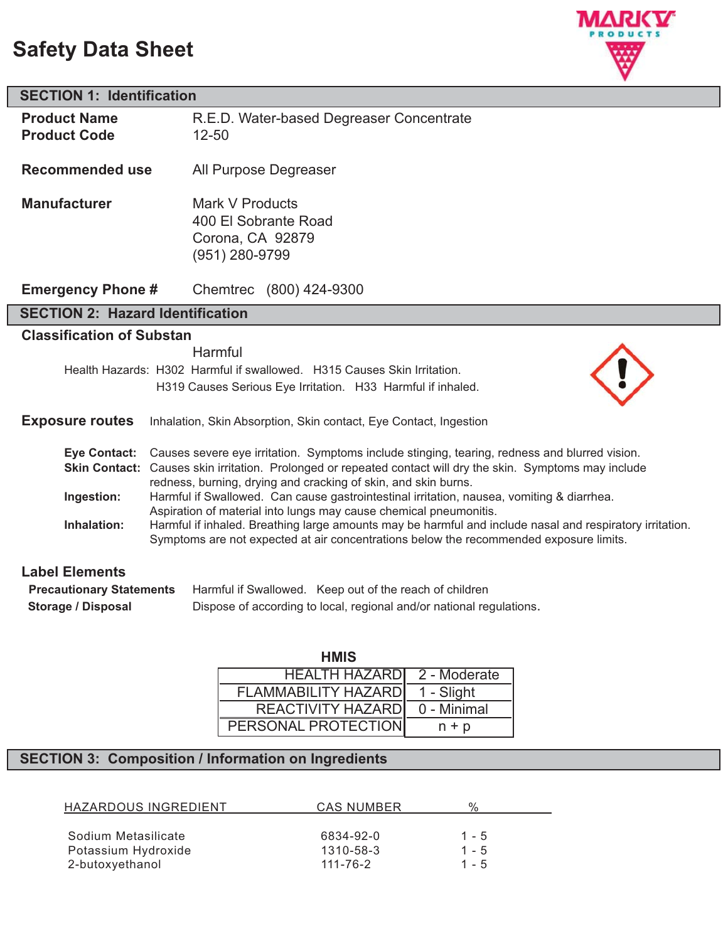# **Safety Data Sheet**



| <b>SECTION 1: Identification</b>                                                                                                                                                                                                                                                                                                                                                                                                                                                                                                                                                                                                                                                                 |                                                                               |  |
|--------------------------------------------------------------------------------------------------------------------------------------------------------------------------------------------------------------------------------------------------------------------------------------------------------------------------------------------------------------------------------------------------------------------------------------------------------------------------------------------------------------------------------------------------------------------------------------------------------------------------------------------------------------------------------------------------|-------------------------------------------------------------------------------|--|
| <b>Product Name</b><br><b>Product Code</b>                                                                                                                                                                                                                                                                                                                                                                                                                                                                                                                                                                                                                                                       | R.E.D. Water-based Degreaser Concentrate<br>$12 - 50$                         |  |
| <b>Recommended use</b>                                                                                                                                                                                                                                                                                                                                                                                                                                                                                                                                                                                                                                                                           | All Purpose Degreaser                                                         |  |
| <b>Manufacturer</b>                                                                                                                                                                                                                                                                                                                                                                                                                                                                                                                                                                                                                                                                              | Mark V Products<br>400 El Sobrante Road<br>Corona, CA 92879<br>(951) 280-9799 |  |
| <b>Emergency Phone #</b>                                                                                                                                                                                                                                                                                                                                                                                                                                                                                                                                                                                                                                                                         | Chemtrec (800) 424-9300                                                       |  |
| <b>SECTION 2: Hazard Identification</b>                                                                                                                                                                                                                                                                                                                                                                                                                                                                                                                                                                                                                                                          |                                                                               |  |
| <b>Classification of Substan</b>                                                                                                                                                                                                                                                                                                                                                                                                                                                                                                                                                                                                                                                                 |                                                                               |  |
| Harmful<br>Health Hazards: H302 Harmful if swallowed. H315 Causes Skin Irritation.<br>H319 Causes Serious Eye Irritation. H33 Harmful if inhaled.<br><b>Exposure routes</b><br>Inhalation, Skin Absorption, Skin contact, Eye Contact, Ingestion                                                                                                                                                                                                                                                                                                                                                                                                                                                 |                                                                               |  |
| Eye Contact: Causes severe eye irritation. Symptoms include stinging, tearing, redness and blurred vision.<br>Skin Contact: Causes skin irritation. Prolonged or repeated contact will dry the skin. Symptoms may include<br>redness, burning, drying and cracking of skin, and skin burns.<br>Ingestion:<br>Harmful if Swallowed. Can cause gastrointestinal irritation, nausea, vomiting & diarrhea.<br>Aspiration of material into lungs may cause chemical pneumonitis.<br>Inhalation:<br>Harmful if inhaled. Breathing large amounts may be harmful and include nasal and respiratory irritation.<br>Symptoms are not expected at air concentrations below the recommended exposure limits. |                                                                               |  |
| <b>Label Elements</b>                                                                                                                                                                                                                                                                                                                                                                                                                                                                                                                                                                                                                                                                            |                                                                               |  |
| <b>Precautionary Statements</b><br>Harmful if Swallowed. Keep out of the reach of children                                                                                                                                                                                                                                                                                                                                                                                                                                                                                                                                                                                                       |                                                                               |  |
| <b>Storage / Disposal</b>                                                                                                                                                                                                                                                                                                                                                                                                                                                                                                                                                                                                                                                                        | Dispose of according to local, regional and/or national regulations.          |  |

| <b>HMIS</b>                |              |
|----------------------------|--------------|
| <b>HEALTH HAZARDI</b>      | 2 - Moderate |
| <b>FLAMMABILITY HAZARD</b> | 1 - Slight   |
| <b>REACTIVITY HAZARD</b>   | 0 - Minimal  |
| PERSONAL PROTECTION        | $n + p$      |

# **SECTION 3: Composition / Information on Ingredients**

| HAZARDOUS INGREDIENT | CAS NUMBER | $\frac{0}{6}$ |
|----------------------|------------|---------------|
|                      |            |               |
| Sodium Metasilicate  | 6834-92-0  | $1 - 5$       |
| Potassium Hydroxide  | 1310-58-3  | $1 - 5$       |
| 2-butoxyethanol      | 111-76-2   | $1 - 5$       |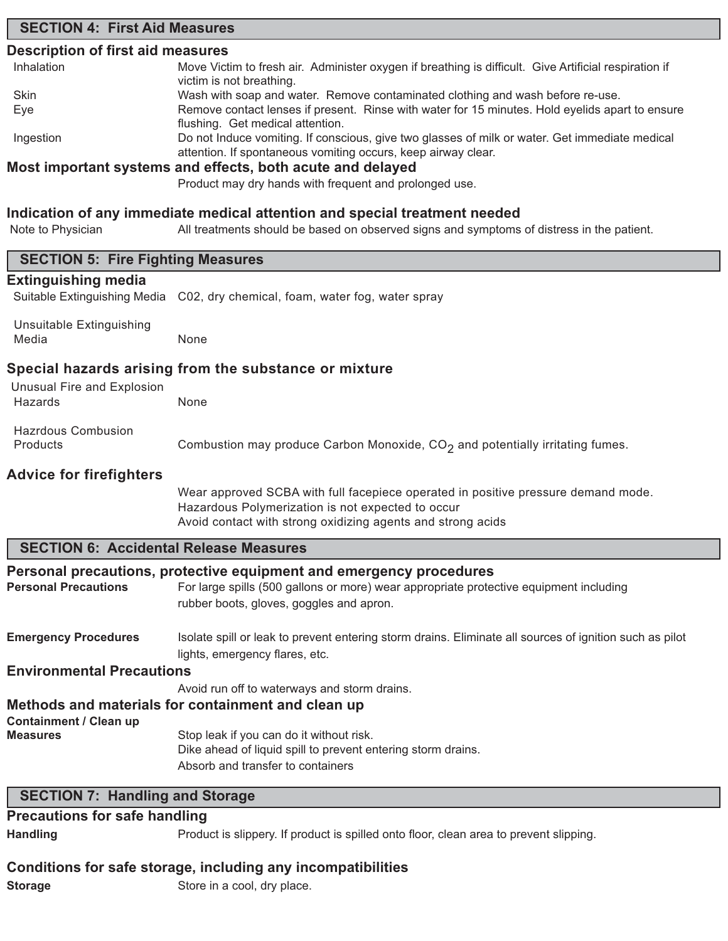## **SECTION 4: First Aid Measures**

### **Description of first aid measures**

| Inhalation | Move Victim to fresh air. Administer oxygen if breathing is difficult. Give Artificial respiration if |
|------------|-------------------------------------------------------------------------------------------------------|
|            | victim is not breathing.                                                                              |
| Skin       | Wash with soap and water. Remove contaminated clothing and wash before re-use.                        |
| Eye        | Remove contact lenses if present. Rinse with water for 15 minutes. Hold eyelids apart to ensure       |
|            | flushing. Get medical attention.                                                                      |
| Ingestion  | Do not Induce vomiting. If conscious, give two glasses of milk or water. Get immediate medical        |
|            | attention. If spontaneous vomiting occurs, keep airway clear.                                         |
|            | Most important systems and effects, both acute and delayed                                            |

Product may dry hands with frequent and prolonged use.

### **Indication of any immediate medical attention and special treatment needed**

Note to Physician All treatments should be based on observed signs and symptoms of distress in the patient.

| <b>SECTION 5: Fire Fighting Measures</b>      |                                                                                                                                                               |
|-----------------------------------------------|---------------------------------------------------------------------------------------------------------------------------------------------------------------|
| <b>Extinguishing media</b>                    |                                                                                                                                                               |
| Suitable Extinguishing Media                  | C02, dry chemical, foam, water fog, water spray                                                                                                               |
| <b>Unsuitable Extinguishing</b>               |                                                                                                                                                               |
| Media                                         | None                                                                                                                                                          |
|                                               |                                                                                                                                                               |
|                                               | Special hazards arising from the substance or mixture                                                                                                         |
| Unusual Fire and Explosion                    |                                                                                                                                                               |
| Hazards                                       | None                                                                                                                                                          |
| <b>Hazrdous Combusion</b>                     |                                                                                                                                                               |
| Products                                      | Combustion may produce Carbon Monoxide, CO <sub>2</sub> and potentially irritating fumes.                                                                     |
| <b>Advice for firefighters</b>                |                                                                                                                                                               |
|                                               | Wear approved SCBA with full facepiece operated in positive pressure demand mode.                                                                             |
|                                               | Hazardous Polymerization is not expected to occur                                                                                                             |
|                                               | Avoid contact with strong oxidizing agents and strong acids                                                                                                   |
| <b>SECTION 6: Accidental Release Measures</b> |                                                                                                                                                               |
|                                               |                                                                                                                                                               |
| <b>Personal Precautions</b>                   | Personal precautions, protective equipment and emergency procedures<br>For large spills (500 gallons or more) wear appropriate protective equipment including |
|                                               | rubber boots, gloves, goggles and apron.                                                                                                                      |
|                                               |                                                                                                                                                               |
| <b>Emergency Procedures</b>                   | Isolate spill or leak to prevent entering storm drains. Eliminate all sources of ignition such as pilot                                                       |
|                                               | lights, emergency flares, etc.                                                                                                                                |
| <b>Environmental Precautions</b>              |                                                                                                                                                               |
|                                               | Avoid run off to waterways and storm drains.                                                                                                                  |
|                                               | Methods and materials for containment and clean up                                                                                                            |
| <b>Containment / Clean up</b>                 |                                                                                                                                                               |
| <b>Measures</b>                               | Stop leak if you can do it without risk.<br>Dike ahead of liquid spill to prevent entering storm drains.                                                      |
|                                               | Absorb and transfer to containers                                                                                                                             |
|                                               |                                                                                                                                                               |
| <b>SECTION 7: Handling and Storage</b>        |                                                                                                                                                               |
| <b>Precautions for safe handling</b>          |                                                                                                                                                               |
| <b>Handling</b>                               | Product is slippery. If product is spilled onto floor, clean area to prevent slipping.                                                                        |

### **Conditions for safe storage, including any incompatibilities**

**Storage** Store in a cool, dry place.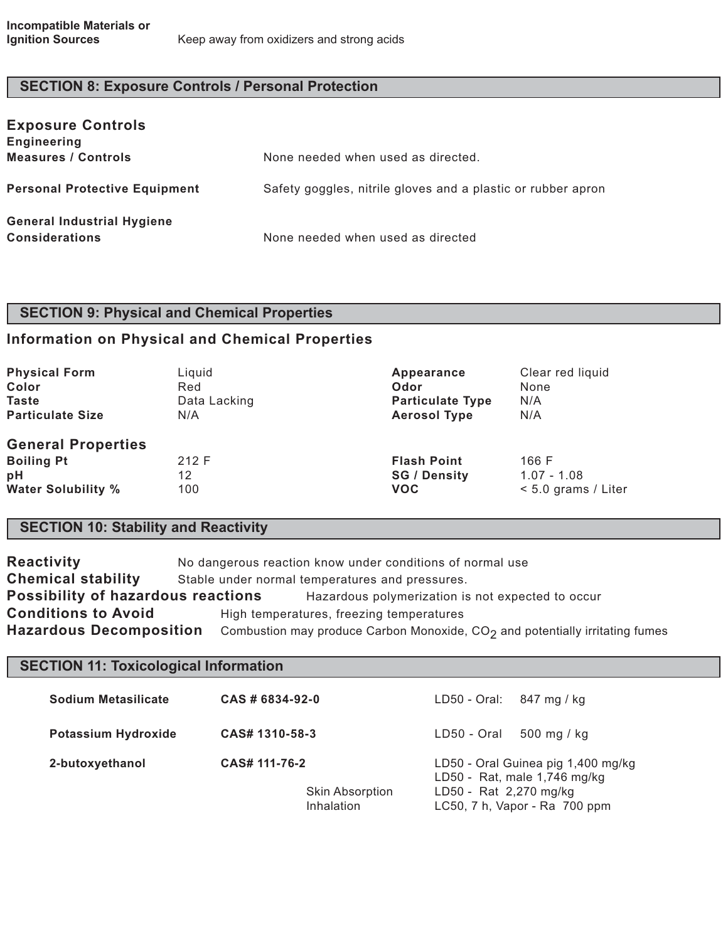# **SECTION 8: Exposure Controls / Personal Protection**

| <b>Exposure Controls</b><br><b>Engineering</b>             |                                                              |
|------------------------------------------------------------|--------------------------------------------------------------|
| <b>Measures / Controls</b>                                 | None needed when used as directed.                           |
| <b>Personal Protective Equipment</b>                       | Safety goggles, nitrile gloves and a plastic or rubber apron |
| <b>General Industrial Hygiene</b><br><b>Considerations</b> | None needed when used as directed                            |

# **SECTION 9: Physical and Chemical Properties**

# **Information on Physical and Chemical Properties**

| <b>Physical Form</b>                                                              | Liquid             | Appearance                                              | Clear red liquid                                |
|-----------------------------------------------------------------------------------|--------------------|---------------------------------------------------------|-------------------------------------------------|
| Color                                                                             | Red                | Odor                                                    | None                                            |
| <b>Taste</b>                                                                      | Data Lacking       | <b>Particulate Type</b>                                 | N/A                                             |
| <b>Particulate Size</b>                                                           | N/A                | <b>Aerosol Type</b>                                     | N/A                                             |
| <b>General Properties</b><br><b>Boiling Pt</b><br>pH<br><b>Water Solubility %</b> | 212 F<br>12<br>100 | <b>Flash Point</b><br><b>SG / Density</b><br><b>VOC</b> | 166 F<br>$1.07 - 1.08$<br>$< 5.0$ grams / Liter |

# **SECTION 10: Stability and Reactivity**

| No dangerous reaction know under conditions of normal use                                                        |  |  |
|------------------------------------------------------------------------------------------------------------------|--|--|
| Stable under normal temperatures and pressures.                                                                  |  |  |
| <b>Possibility of hazardous reactions</b><br>Hazardous polymerization is not expected to occur                   |  |  |
| <b>Conditions to Avoid</b><br>High temperatures, freezing temperatures                                           |  |  |
| <b>Hazardous Decomposition</b><br>Combustion may produce Carbon Monoxide, $CO2$ and potentially irritating fumes |  |  |
|                                                                                                                  |  |  |

# **SECTION 11: Toxicological Information**

| Sodium Metasilicate        | CAS # 6834-92-0                                       | LD50 - Oral:<br>847 mg / kg                                                                                                   |
|----------------------------|-------------------------------------------------------|-------------------------------------------------------------------------------------------------------------------------------|
| <b>Potassium Hydroxide</b> | CAS# 1310-58-3                                        | $500$ mg / kg<br>LD50 - Oral                                                                                                  |
| 2-butoxyethanol            | CAS# 111-76-2<br><b>Skin Absorption</b><br>Inhalation | LD50 - Oral Guinea pig 1,400 mg/kg<br>LD50 - Rat, male 1,746 mg/kg<br>LD50 - Rat 2,270 mg/kg<br>LC50, 7 h, Vapor - Ra 700 ppm |